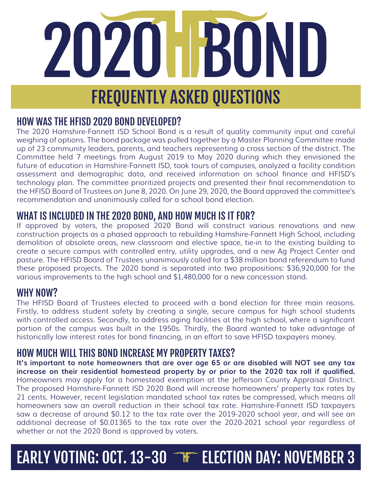# 2020 FBOND FREQUENTLY ASKED QUESTIONS

## HOW WAS THE HFISD 2020 BOND DEVELOPED?

The 2020 Hamshire-Fannett ISD School Bond is a result of quality community input and careful weighing of options. The bond package was pulled together by a Master Planning Committee made up of 23 community leaders, parents, and teachers representing a cross section of the district. The Committee held 7 meetings from August 2019 to May 2020 during which they envisioned the future of education in Hamshire-Fannett ISD, took tours of campuses, analyzed a facility condition assessment and demographic data, and received information on school finance and HFISD's technology plan. The committee prioritized projects and presented their final recommendation to the HFISD Board of Trustees on June 8, 2020. On June 29, 2020, the Board approved the committee's recommendation and unanimously called for a school bond election.

## WHAT IS INCLUDED IN THE 2020 BOND, AND HOW MUCH IS IT FOR?

If approved by voters, the proposed 2020 Bond will construct various renovations and new construction projects as a phased approach to rebuilding Hamshire-Fannett High School, including demolition of obsolete areas, new classroom and elective space, tie-in to the existing building to create a secure campus with controlled entry, utility upgrades, and a new Ag Project Center and pasture. The HFISD Board of Trustees unanimously called for a \$38 million bond referendum to fund these proposed projects. The 2020 bond is separated into two propositions: \$36,920,000 for the various improvements to the high school and \$1,480,000 for a new concession stand.

## WHY NOW?

The HFISD Board of Trustees elected to proceed with a bond election for three main reasons. Firstly, to address student safety by creating a single, secure campus for high school students with controlled access. Secondly, to address aging facilities at the high school, where a significant portion of the campus was built in the 1950s. Thirdly, the Board wanted to take advantage of historically low interest rates for bond financing, in an effort to save HFISD taxpayers money.

## HOW MUCH WILL THIS BOND INCREASE MY PROPERTY TAXES?

**It's important to note homeowners that are over age 65 or are disabled will NOT see any tax increase on their residential homestead property by or prior to the 2020 tax roll if qualified.** Homeowners may apply for a homestead exemption at the Jefferson County Appraisal District. The proposed Hamshire-Fannett ISD 2020 Bond will increase homeowners' property tax rates by 21 cents. However, recent legislation mandated school tax rates be compressed, which means all homeowners saw an overall reduction in their school tax rate. Hamshire-Fannett ISD taxpayers saw a decrease of around \$0.12 to the tax rate over the 2019-2020 school year, and will see an additional decrease of \$0.01365 to the tax rate over the 2020-2021 school year regardless of whether or not the 2020 Bond is approved by voters.

## EARLY VOTING: OCT. 13-30 FF ELECTION DAY: NOVEMBER 3